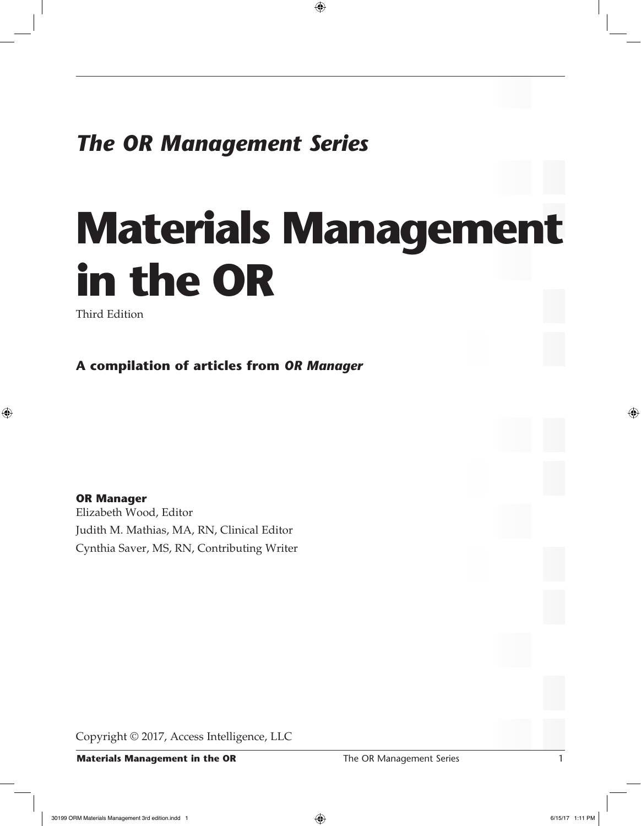## *The OR Management Series*

## **Materials Management in the OR**

⊕

Third Edition

◈

**A compilation of articles from** *OR Manager*

**OR Manager** Elizabeth Wood, Editor Judith M. Mathias, MA, RN, Clinical Editor Cynthia Saver, MS, RN, Contributing Writer

Copyright © 2017, Access Intelligence, LLC

**Materials Management in the OR** The OR Management Series 1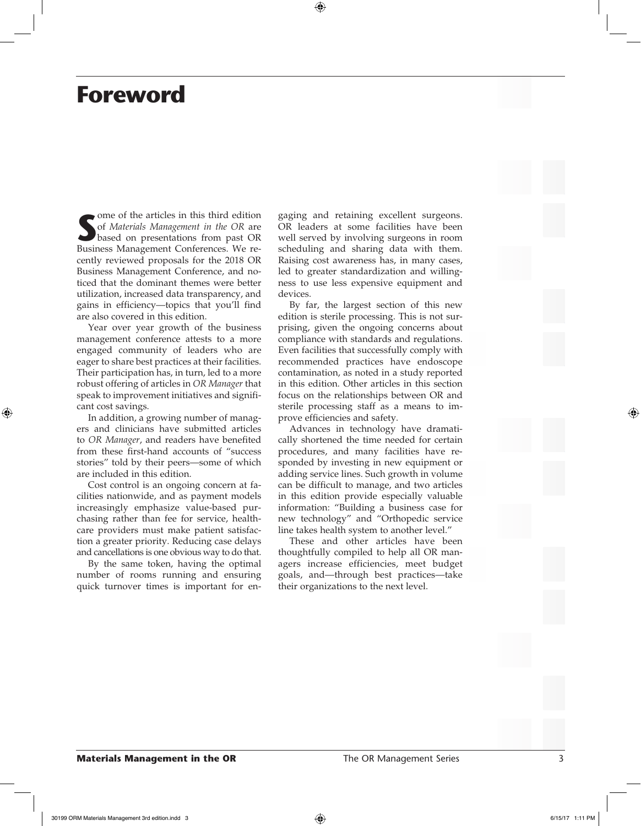## **Foreword**

Some of the articles in this third edition<br>
of *Materials Management in the OR* are<br>
based on presentations from past OR<br>
Business Management Conferences. We reome of the articles in this third edition of *Materials Management in the OR* are based on presentations from past OR cently reviewed proposals for the 2018 OR Business Management Conference, and noticed that the dominant themes were better utilization, increased data transparency, and gains in efficiency—topics that you'll find are also covered in this edition.

Year over year growth of the business management conference attests to a more engaged community of leaders who are eager to share best practices at their facilities. Their participation has, in turn, led to a more robust offering of articles in *OR Manager* that speak to improvement initiatives and significant cost savings.

In addition, a growing number of managers and clinicians have submitted articles to *OR Manager*, and readers have benefited from these first-hand accounts of "success stories" told by their peers—some of which are included in this edition.

Cost control is an ongoing concern at facilities nationwide, and as payment models increasingly emphasize value-based purchasing rather than fee for service, healthcare providers must make patient satisfaction a greater priority. Reducing case delays and cancellations is one obvious way to do that.

By the same token, having the optimal number of rooms running and ensuring quick turnover times is important for engaging and retaining excellent surgeons. OR leaders at some facilities have been well served by involving surgeons in room scheduling and sharing data with them. Raising cost awareness has, in many cases, led to greater standardization and willingness to use less expensive equipment and devices.

By far, the largest section of this new edition is sterile processing. This is not surprising, given the ongoing concerns about compliance with standards and regulations. Even facilities that successfully comply with recommended practices have endoscope contamination, as noted in a study reported in this edition. Other articles in this section focus on the relationships between OR and sterile processing staff as a means to improve efficiencies and safety.

Advances in technology have dramatically shortened the time needed for certain procedures, and many facilities have responded by investing in new equipment or adding service lines. Such growth in volume can be difficult to manage, and two articles in this edition provide especially valuable information: "Building a business case for new technology" and "Orthopedic service line takes health system to another level."

These and other articles have been thoughtfully compiled to help all OR managers increase efficiencies, meet budget goals, and—through best practices—take their organizations to the next level.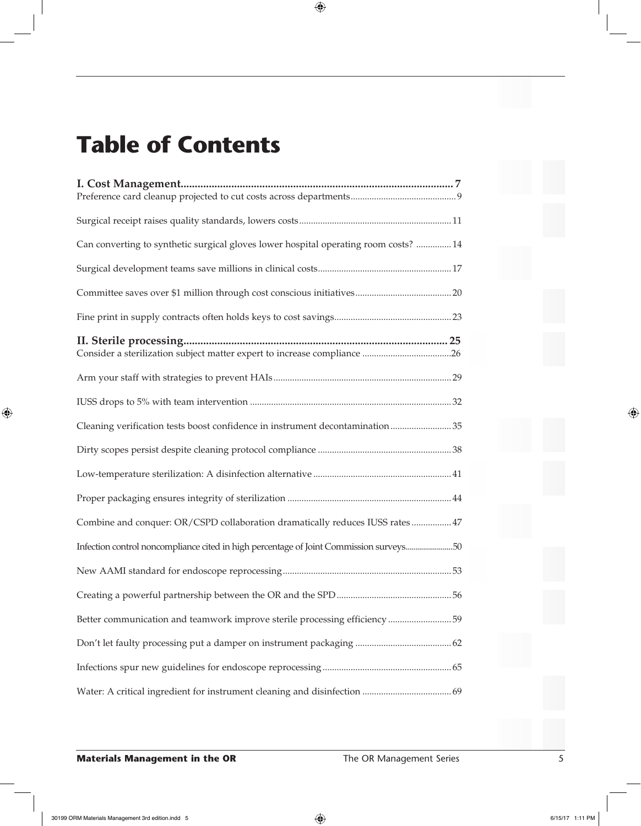## **Table of Contents**

| Can converting to synthetic surgical gloves lower hospital operating room costs?  14   |
|----------------------------------------------------------------------------------------|
|                                                                                        |
|                                                                                        |
|                                                                                        |
|                                                                                        |
|                                                                                        |
|                                                                                        |
|                                                                                        |
| Cleaning verification tests boost confidence in instrument decontamination35           |
|                                                                                        |
|                                                                                        |
|                                                                                        |
| Combine and conquer: OR/CSPD collaboration dramatically reduces IUSS rates  47         |
| Infection control noncompliance cited in high percentage of Joint Commission surveys50 |
|                                                                                        |
|                                                                                        |
| Better communication and teamwork improve sterile processing efficiency 59             |
|                                                                                        |
|                                                                                        |
|                                                                                        |

 $\bigoplus$ 

**Materials Management in the OR Series 3 AT ADE SERIES SERIES SERIES SERIES SERIES SERIES SERIES SERIES SERIES** 

 $\bigoplus$ 

⊕